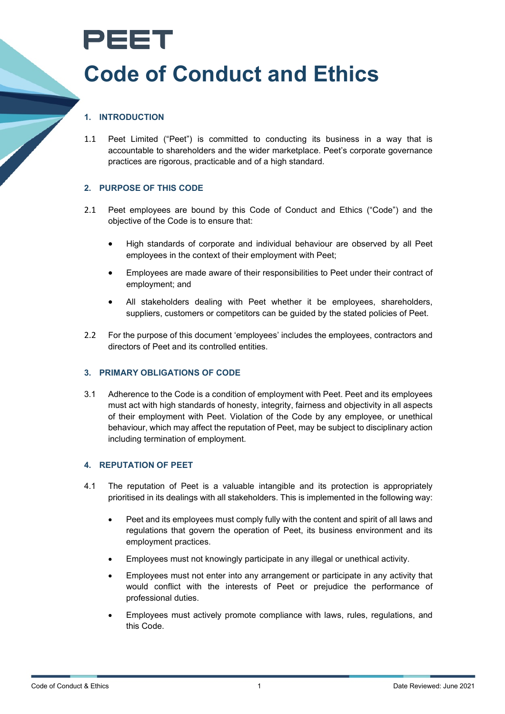

# **Code of Conduct and Ethics**

## **1. INTRODUCTION**

1.1 Peet Limited ("Peet") is committed to conducting its business in a way that is accountable to shareholders and the wider marketplace. Peet's corporate governance practices are rigorous, practicable and of a high standard.

## **2. PURPOSE OF THIS CODE**

- 2.1 Peet employees are bound by this Code of Conduct and Ethics ("Code") and the objective of the Code is to ensure that:
	- High standards of corporate and individual behaviour are observed by all Peet employees in the context of their employment with Peet;
	- Employees are made aware of their responsibilities to Peet under their contract of employment; and
	- All stakeholders dealing with Peet whether it be employees, shareholders, suppliers, customers or competitors can be guided by the stated policies of Peet.
- 2.2 For the purpose of this document 'employees' includes the employees, contractors and directors of Peet and its controlled entities.

#### **3. PRIMARY OBLIGATIONS OF CODE**

3.1 Adherence to the Code is a condition of employment with Peet. Peet and its employees must act with high standards of honesty, integrity, fairness and objectivity in all aspects of their employment with Peet. Violation of the Code by any employee, or unethical behaviour, which may affect the reputation of Peet, may be subject to disciplinary action including termination of employment.

#### **4. REPUTATION OF PEET**

- 4.1 The reputation of Peet is a valuable intangible and its protection is appropriately prioritised in its dealings with all stakeholders. This is implemented in the following way:
	- Peet and its employees must comply fully with the content and spirit of all laws and regulations that govern the operation of Peet, its business environment and its employment practices.
	- Employees must not knowingly participate in any illegal or unethical activity.
	- Employees must not enter into any arrangement or participate in any activity that would conflict with the interests of Peet or prejudice the performance of professional duties.
	- Employees must actively promote compliance with laws, rules, regulations, and this Code.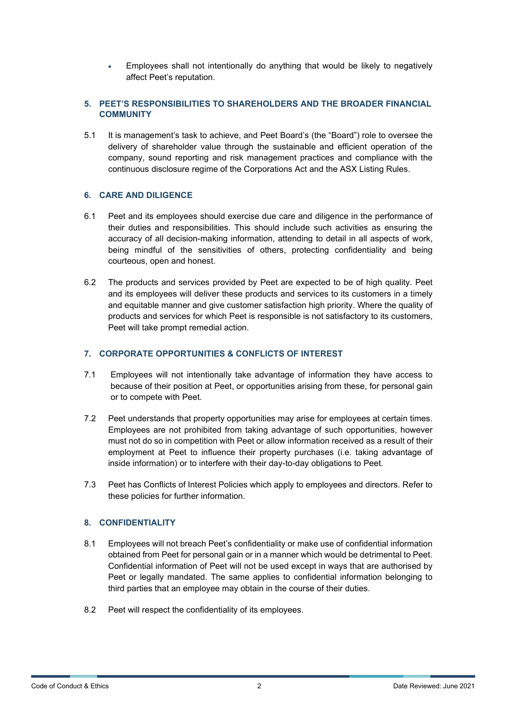• Employees shall not intentionally do anything that would be likely to negatively affect Peet's reputation.

## **5. PEET'S RESPONSIBILITIES TO SHAREHOLDERS AND THE BROADER FINANCIAL COMMUNITY**

5.1 It is management's task to achieve, and Peet Board's (the "Board") role to oversee the delivery of shareholder value through the sustainable and efficient operation of the company, sound reporting and risk management practices and compliance with the continuous disclosure regime of the Corporations Act and the ASX Listing Rules.

## **6. CARE AND DILIGENCE**

- 6.1 Peet and its employees should exercise due care and diligence in the performance of their duties and responsibilities. This should include such activities as ensuring the accuracy of all decision-making information, attending to detail in all aspects of work, being mindful of the sensitivities of others, protecting confidentiality and being courteous, open and honest.
- 6.2 The products and services provided by Peet are expected to be of high quality. Peet and its employees will deliver these products and services to its customers in a timely and equitable manner and give customer satisfaction high priority. Where the quality of products and services for which Peet is responsible is not satisfactory to its customers, Peet will take prompt remedial action.

## **7. CORPORATE OPPORTUNITIES & CONFLICTS OF INTEREST**

- 7.1 Employees will not intentionally take advantage of information they have access to because of their position at Peet, or opportunities arising from these, for personal gain or to compete with Peet.
- 7.2 Peet understands that property opportunities may arise for employees at certain times. Employees are not prohibited from taking advantage of such opportunities, however must not do so in competition with Peet or allow information received as a result of their employment at Peet to influence their property purchases (i.e. taking advantage of inside information) or to interfere with their day-to-day obligations to Peet.
- 7.3 Peet has Conflicts of Interest Policies which apply to employees and directors. Refer to these policies for further information.

#### **8. CONFIDENTIALITY**

- 8.1 Employees will not breach Peet's confidentiality or make use of confidential information obtained from Peet for personal gain or in a manner which would be detrimental to Peet. Confidential information of Peet will not be used except in ways that are authorised by Peet or legally mandated. The same applies to confidential information belonging to third parties that an employee may obtain in the course of their duties.
- 8.2 Peet will respect the confidentiality of its employees.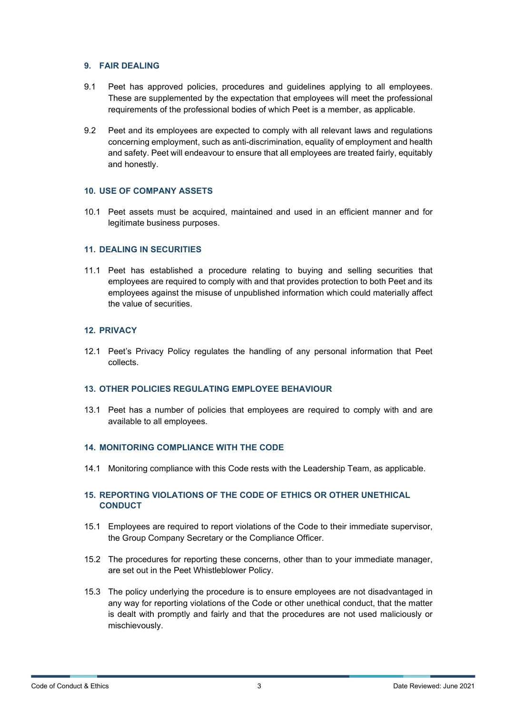#### **9. FAIR DEALING**

- 9.1 Peet has approved policies, procedures and guidelines applying to all employees. These are supplemented by the expectation that employees will meet the professional requirements of the professional bodies of which Peet is a member, as applicable.
- 9.2 Peet and its employees are expected to comply with all relevant laws and regulations concerning employment, such as anti-discrimination, equality of employment and health and safety. Peet will endeavour to ensure that all employees are treated fairly, equitably and honestly.

## **10. USE OF COMPANY ASSETS**

10.1 Peet assets must be acquired, maintained and used in an efficient manner and for legitimate business purposes.

#### **11. DEALING IN SECURITIES**

11.1 Peet has established a procedure relating to buying and selling securities that employees are required to comply with and that provides protection to both Peet and its employees against the misuse of unpublished information which could materially affect the value of securities.

#### **12. PRIVACY**

12.1 Peet's Privacy Policy regulates the handling of any personal information that Peet collects.

#### **13. OTHER POLICIES REGULATING EMPLOYEE BEHAVIOUR**

13.1 Peet has a number of policies that employees are required to comply with and are available to all employees.

#### **14. MONITORING COMPLIANCE WITH THE CODE**

14.1 Monitoring compliance with this Code rests with the Leadership Team, as applicable.

## **15. REPORTING VIOLATIONS OF THE CODE OF ETHICS OR OTHER UNETHICAL CONDUCT**

- 15.1 Employees are required to report violations of the Code to their immediate supervisor, the Group Company Secretary or the Compliance Officer.
- 15.2 The procedures for reporting these concerns, other than to your immediate manager, are set out in the Peet Whistleblower Policy.
- 15.3 The policy underlying the procedure is to ensure employees are not disadvantaged in any way for reporting violations of the Code or other unethical conduct, that the matter is dealt with promptly and fairly and that the procedures are not used maliciously or mischievously.